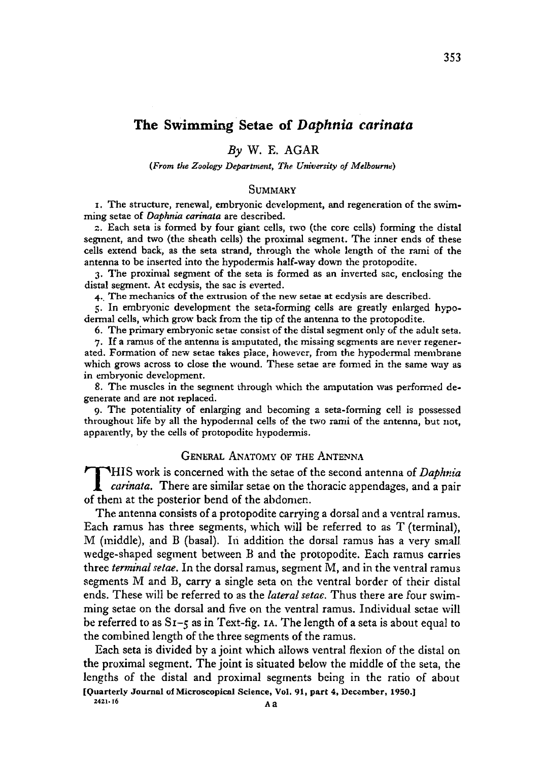### *By* W. E. AGAR

#### *{From the Zoology Department, The University of Melbourne)*

#### **SUMMARY**

I. The structure, renewal, embryonic development, and regeneration of the swimming setae of *Daphnia carinata* are described.

2. Each seta is formed by four giant cells, two (the core cells) forming the distal segment, and two (the sheath cells) the proximal segment. The inner ends of these cells extend back, as the seta strand, through the whole length of the rami of the antenna to be inserted into the hypodermis half-way down the protopodite.

3. The proximal segment of the seta is formed as an inverted sac, enclosing the distal segment. At ecdysis, the sac is everted.

4. The mechanics of the extrusion of the new setae at ecdysis are described.

5. In embryonic development the seta-forming cells are greatly enlarged hypodermal cells, which grow back from the tip cf the antenna to the protopodite.

6. The primary embryonic setae consist of the distal segment only of the adult seta.

7. If a ramus of the antenna is amputated, the missing segments are never regenerated. Formation of new setae takes place, however, from the hypodermal membrane which grows across to close the wound. These setae are formed in the same way as in embryonic development.

8. The muscles in the segment through which the amputation was performed degenerate and are not replaced.

9. The potentiality of enlarging and becoming a seta-forming cell is possessed throughout life by all the hypodermal cells of the two rami of the antenna, but not, apparently, by the cells of protopodite hypodermis.

### GENERAL ANATOMY OF THE ANTENNA

**THIS work is concerned with the setae of the second antenna of** *Daphnia***<br>** *carinata***. There are similar setae on the thoracic appendages, and a pair<br>
of them at the nosterior hend of the abdomen** of them at the posterior bend of the abdomen.

The antenna consists of a protopodite carrying a dorsal and a ventral ramus. Each ramus has three segments, which will be referred to as T (terminal), M (middle), and B (basal). In addition the dorsal ramus has a very small wedge-shaped segment between B and the protopodite. Each ramus carries three *terminal setae.* In the dorsal ramus, segment M, and in the ventral ramus segments M and B, carry a single seta on the ventral border of their distal ends. These will be referred to as the *lateral setae.* Thus there are four swimming setae on the dorsal and five on the ventral ramus. Individual setae will be referred to as S1-5 as in Text-fig, IA. The length of a seta is about equal to the combined length of the three segments of the ramus.

Each seta is divided by a joint, which allows ventral flexion of the distal on the proximal segment. The joint is situated below the middle of the seta, the lengths of the distal and proximal segments being in the ratio of about [Quarterly Journal of Microscopical Science, Vol. 91, part 4, December, 1950.]

**2421.16 A <sup>a</sup>**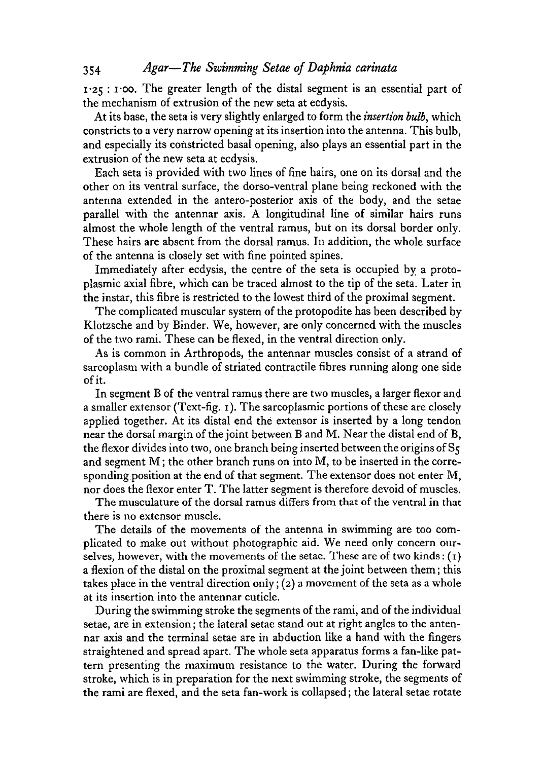1-25 : 1- oo. The greater length of the distal segment is an essential part of the mechanism of extrusion of the new seta at ecdysis.

At its base, the seta is very slightly enlarged to form the *insertion bulb,* which constricts to a very narrow opening at its insertion into the antenna. This bulb, and especially its constricted basal opening, also plays an essential part in the extrusion of the new seta at ecdysis.

Each seta is provided with two lines of fine hairs, one on its dorsal and the other on its ventral surface, the dorso-ventral plane being reckoned with the antenna extended in the antero-posterior axis of the body, and the setae parallel with the antennar axis. A longitudinal line of similar hairs runs almost the whole length of the ventral ramus, but on its dorsal border only. These hairs are absent from the dorsal ramus. In addition, the whole surface of the antenna is closely set with fine pointed spines.

Immediately after ecdysis, the centre of the seta is occupied by a protoplasmic axial fibre, which can be traced almost to the tip of the seta. Later in the instar, this fibre is restricted to the lowest third of the proximal segment.

The complicated muscular system of the protopodite has been described by Klotzsche and by Binder. We, however, are only concerned with the muscles of the two rami. These can be flexed, in the ventral direction only.

As is common in Arthropods, the antennar muscles consist of a strand of sarcoplasm with a bundle of striated contractile fibres running along one side of it.

In segment B of the ventral ramus there are two muscles, a larger flexor and a smaller extensor (Text-fig. 1). The sarcoplasmic portions of these are closely applied together. At its distal end the extensor is inserted by a long tendon near the dorsal margin of the joint between B and M. Near the distal end of B, the flexor divides into two, one branch being inserted between the origins of  $S_5$ and segment M; the other branch runs on into M, to be inserted in the corresponding position at the end of that segment. The extensor does not enter M, nor does the flexor enter T. The latter segment is therefore devoid of muscles.

The musculature of the dorsal ramus differs from that of the ventral in that there is no extensor muscle.

The details of the movements of the antenna in swimming are too complicated to make out without photographic aid. We need only concern ourselves, however, with the movements of the setae. These are of two kinds:  $(1)$ a flexion of the distal on the proximal segment at the joint between them; this takes place in the ventral direction only; (2) a movement of the seta as a whole at its insertion into the antennar cuticle.

During the swimming stroke the segments of the rami, and of the individual setae, are in extension; the lateral setae stand out at right angles to the antennar axis and the terminal setae are in abduction like a hand with the fingers straightened and spread apart. The whole seta apparatus forms a fan-like pattern presenting the maximum resistance to the water. During the forward stroke, which is in preparation for the next swimming stroke, the segments of the rami are flexed, and the seta fan-work is collapsed; the lateral setae rotate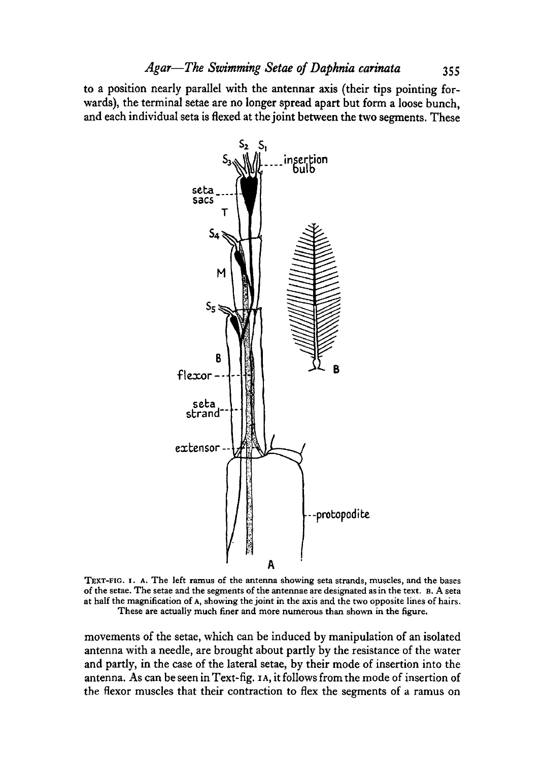to a position nearly parallel with the antennar axis (their tips pointing forwards), the terminal setae are no longer spread apart but form a loose bunch, and each individual seta is flexed at the joint between the two segments. These



TEXT-FIG. 1. A. The left ramus of the antenna showing seta strands, muscles, and the bases<br>of the setae. The setae and the segments of the antennae are designated as in the text. B. A seta<br>at half the magnification of A, s

movements of the setae, which can be induced by manipulation of an isolated antenna with a needle, are brought about partly by the resistance of the water and partly, in the case of the lateral setae, by their mode of insertion into the antenna. As can be seen in Text-fig, IA, it follows from the mode of insertion of the flexor muscles that their contraction to flex the segments of a ramus on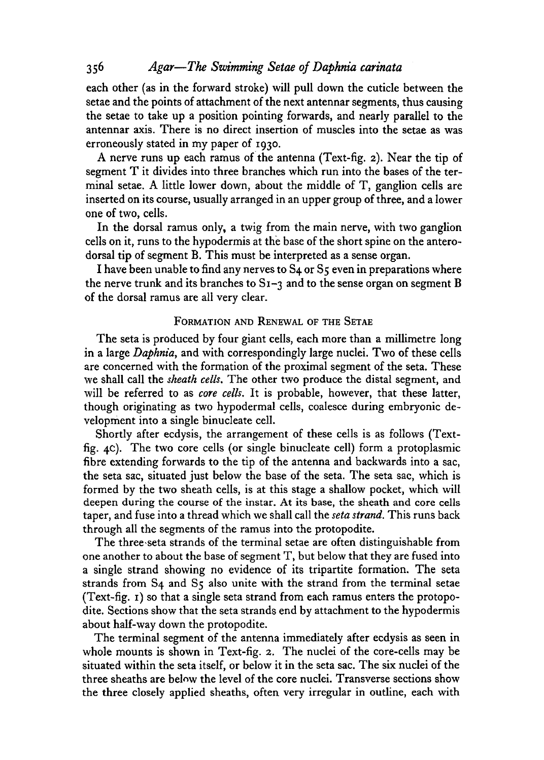each other (as in the forward stroke) will pull down the cuticle between the setae and the points of attachment of the next antennar segments, thus causing the setae to take up a position pointing forwards, and nearly parallel to the antennar axis. There is no direct insertion of muscles into the setae as was erroneously stated in my paper of 1930.

A nerve runs up each ramus of the antenna (Text-fig. 2). Near the tip of segment T it divides into three branches which run into the bases of the terminal setae. A little lower down, about the middle of T, ganglion cells are inserted on its course, usually arranged in an upper group of three, and a lower one of two, cells.

In the dorsal ramus only, a twig from the main nerve, with two ganglion cells on it, runs to the hypodermis at the base of the short spine on the anterodorsal tip of segment B. This must be interpreted as a sense organ.

I have been unable to find any nerves to S4 or S5 even in preparations where the nerve trunk and its branches to  $S_1 - 3$  and to the sense organ on segment B of the dorsal ramus are all very clear.

### FORMATION AND RENEWAL OF THE SETAE

The seta is produced by four giant cells, each more than a millimetre long in a large *Daphnia,* and with correspondingly large nuclei. Two of these cells are concerned with the formation of the proximal segment of the seta. These we shall call the *sheath cells.* The other two produce the distal segment, and will be referred to as *core cells.* It is probable, however, that these latter, though originating as two hypodermal cells, coalesce during embryonic development into a single binucleate cell.

Shortly after ecdysis, the arrangement of these cells is as follows (Textfig. 4c). The two core cells (or single binucleate cell) form a protoplasmic fibre extending forwards to the tip of the antenna and backwards into a sac, the seta sac, situated just below the base of the seta. The seta sac, which is formed by the two sheath cells, is at this stage a shallow pocket, which will deepen during the course of the instar. At its base, the sheath and core cells taper, and fuse into a thread which we shall call the *seta strand.* This runs back through all the segments of the ramus into the protopodite.

The three seta strands of the terminal setae are often distinguishable from one another to about the base of segment T, but below that they are fused into a single strand showing no evidence of its tripartite formation. The seta strands from S4 and S5 also unite with the strand from the terminal setae (Text-fig. 1) so that a single seta strand from each ramus enters the protopodite. Sections show that the seta strands end by attachment to the hypodermis about half-way down the protopodite.

The terminal segment of the antenna immediately after ecdysis as seen in whole mounts is shown in Text-fig. 2. The nuclei of the core-cells may be situated within the seta itself, or below it in the seta sac. The six nuclei of the three sheaths are below the level of the core nuclei. Transverse sections show the three closely applied sheaths, often very irregular in outline, each with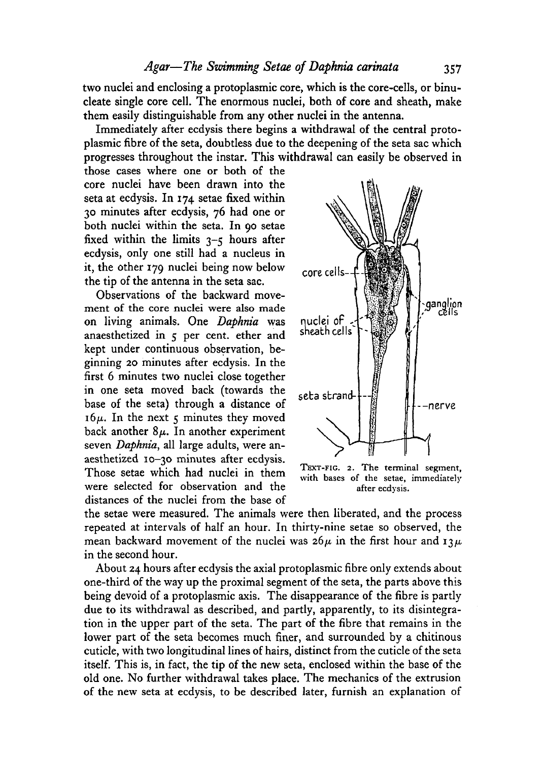two nuclei and enclosing a protoplasmic core, which is the core-cells, or binucleate single core cell. The enormous nuclei, both of core and sheath, make them easily distinguishable from any other nuclei in the antenna.

Immediately after ecdysis there begins a withdrawal of the central protoplasmic fibre of the seta, doubtless due to the deepening of the seta sac which progresses throughout the instar. This withdrawal can easily be observed in

those cases where one or both of the core nuclei have been drawn into the seta at ecdysis. In 174 setae fixed within 30 minutes after ecdysis, 76 had one or both nuclei within the seta. In 90 setae fixed within the limits  $3-\xi$  hours after ecdysis, only one still had a nucleus in it, the other 179 nuclei being now below the tip of the antenna in the seta sac.

Observations of the backward movement of the core nuclei were also made on living animals. One *Daphnia* was anaesthetized in 5 per cent, ether and kept under continuous observation, beginning 20 minutes after ecdysis. In the first 6 minutes two nuclei close together in one seta moved back (towards the base of the seta) through a distance of  $16\mu$ . In the next  $\varsigma$  minutes they moved back another  $8\mu$ . In another experiment seven *Daphnia,* all large adults, were anaesthetized 10-30 minutes after ecdysis. Those setae which had nuclei in them were selected for observation and the distances of the nuclei from the base of



with bases of the setae, immediately after ecdysis.

the setae were measured. The animals were then liberated, and the process repeated at intervals of half an hour. In thirty-nine setae so observed, the mean backward movement of the nuclei was  $26\mu$  in the first hour and  $13\mu$ in the second hour.

About 24 hours after ecdysis the axial protoplasmic fibre only extends about one-third of the way up the proximal segment of the seta, the parts above this being devoid of a protoplasmic axis. The disappearance of the fibre is partly due to its withdrawal as described, and partly, apparently, to its disintegration in the upper part of the seta. The part of the fibre that remains in the lower part of the seta becomes much finer, and surrounded by a chitinous cuticle, with two longitudinal lines of hairs, distinct from the cuticle of the seta itself. This is, in fact, the tip of the new seta, enclosed within the base of the old one. No further withdrawal takes place. The mechanics of the extrusion of the new seta at ecdysis, to be described later, furnish an explanation of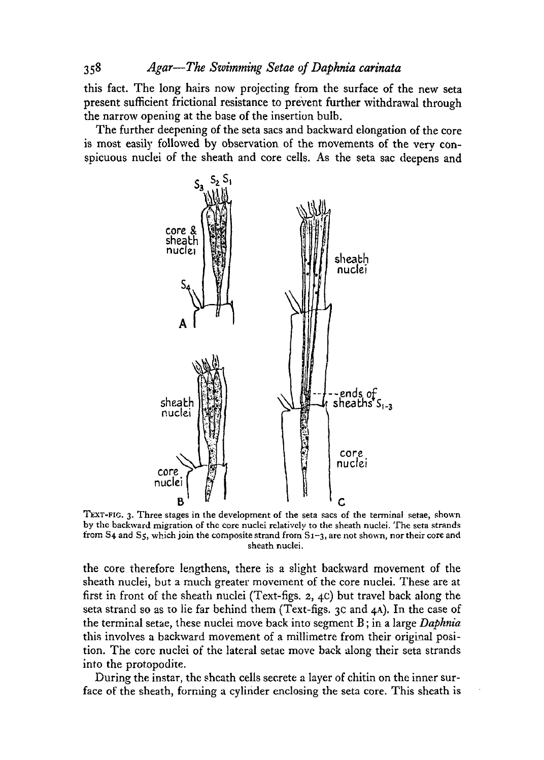this fact. The long hairs now projecting from the surface of the new seta present sufficient frictional resistance to prevent further withdrawal through the narrow opening at the base of the insertion bulb.

The further deepening of the seta sacs and backward elongation of the core is most easily followed by observation of the movements of the very conspicuous nuclei of the sheath and core cells. As the seta sac deepens and



TEXT-FIG. 3. Three stages in the development of the seta sacs of the terminal setae, shown<br>by the backward migration of the core nuclei relatively to the sheath nuclei. The seta strands<br>from S4 and S5, which join the comp sheath nuclei.

the core therefore lengthens, there is a slight backward movement of the sheath nuclei, but a much greater movement of the core nuclei. These are at first in front of the sheath nuclei (Text-figs. 2, 4c) but travel back along the seta strand so as to lie far behind them (Text-figs. 3c and 4A). In the case of the terminal setae, these nuclei move back into segment B; in a large *Daphnia* this involves a backward movement of a millimetre from their original position. The core nuclei of the lateral setae move back along their seta strands into the protopodite.

During the instar, the sheath cells secrete a layer of chitin on the inner surface of the sheath, forming a cylinder enclosing the seta core. This sheath is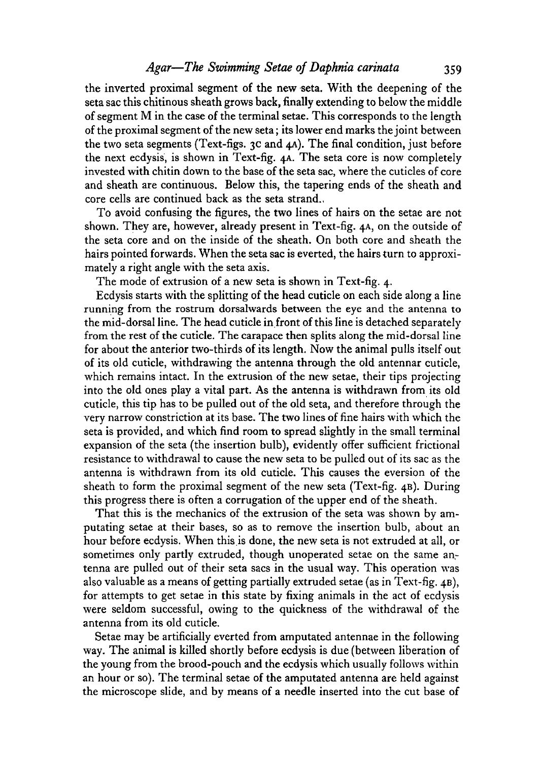the inverted proximal segment of the new seta. With the deepening of the seta sac this chitinous sheath grows back, finally extending to below the middle of segment M in the case of the terminal setae. This corresponds to the length of the proximal segment of the new seta; its lower end marks the joint between the two seta segments (Text-figs. 3c and 4A). The final condition, just before the next ecdysis, is shown in Text-fig. 4A. The seta core is now completely invested with chitin down to the base of the seta sac, where the cuticles of core and sheath are continuous. Below this, the tapering ends of the sheath and core cells are continued back as the seta strand.,

To avoid confusing the figures, the two lines of hairs on the setae are not shown. They are, however, already present in Text-fig. 4A, on the outside of the seta core and on the inside of the sheath. On both core and sheath the hairs pointed forwards. When the seta sac is everted, the hairs turn to approximately a right angle with the seta axis.

The mode of extrusion of a new seta is shown in Text-fig. 4.

Ecdysis starts with the splitting of the head cuticle on each side along a line running from the rostrum dorsalwards between the eye and the antenna to the mid-dorsal line. The head cuticle in front of this line is detached separately from the rest of the cuticle. The carapace then splits along the mid-dorsal line for about the anterior two-thirds of its length. Now the animal pulls itself out of its old cuticle, withdrawing the antenna through the old antennar cuticle, which remains intact. In the extrusion of the new setae, their tips projecting into the old ones play a vital part. As the antenna is withdrawn from its old cuticle, this tip has to be pulled out of the old seta, and therefore through the very narrow constriction at its base. The two lines of fine hairs with which the seta is provided, and which find room to spread slightly in the small terminal expansion of the seta (the insertion bulb), evidently offer sufficient frictional resistance to withdrawal to cause the new seta to be pulled out of its sac as the antenna is withdrawn from its old cuticle. This causes the eversion of the sheath to form the proximal segment of the new seta (Text-fig. 4B). During this progress there is often a corrugation of the upper end of the sheath.

That this is the mechanics of the extrusion of the seta was shown by amputating setae at their bases, so as to remove the insertion bulb, about an hour before ecdysis. When this is done, the new seta is not extruded at all, or sometimes only partly extruded, though unoperated setae on the same antenna are pulled out of their seta sacs in the usual way. This operation was also valuable as a means of getting partially extruded setae (as in Text-fig. 4B), for attempts to get setae in this state by fixing animals in the act of ecdysis were seldom successful, owing to the quickness of the withdrawal of the antenna from its old cuticle.

Setae may be artificially everted from amputated antennae in the following way. The animal is killed shortly before ecdysis is due (between liberation of the young from the brood-pouch and the ecdysis which usually follows within an hour or so). The terminal setae of the amputated antenna are held against the microscope slide, and by means of a needle inserted into the cut base of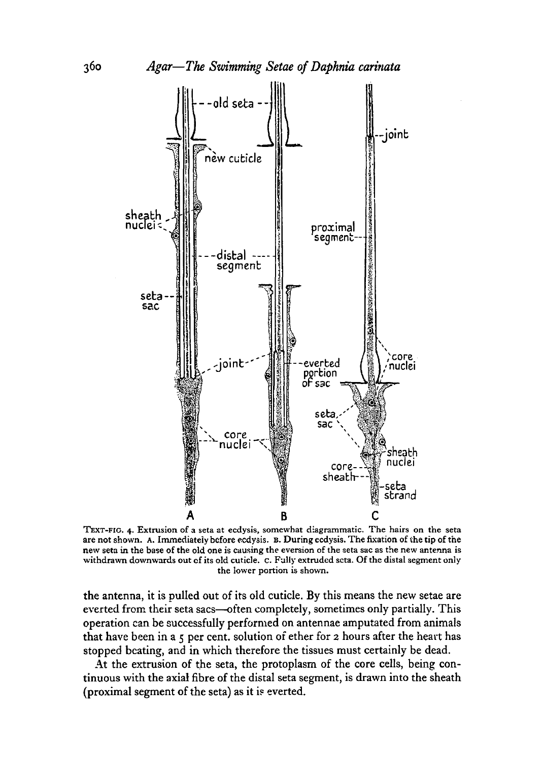

TEXT-FIG. 4. Extrusion of a seta at ecdysis, somewhat diagrammatic. The hairs on the seta<br>are not shown. A. Immediately before ecdysis. B. During ecdysis. The fixation of the tip of the<br>new seta in the base of the old one the lower portion is shown.

the antenna, it is pulled out of its old cuticle. By this means the new setae are everted from their seta sacs—often completely, sometimes only partially. This operation can be successfully performed on antennae amputated from animals that have been in a 5 per cent, solution of ether for 2 hours after the heart has stopped beating, and in which therefore the tissues must certainly be dead.

At the extrusion of the seta, the protoplasm of the core cells, being continuous with the axial fibre of the distal seta segment, is drawn into the sheath (proximal segment of the seta) as it is everted.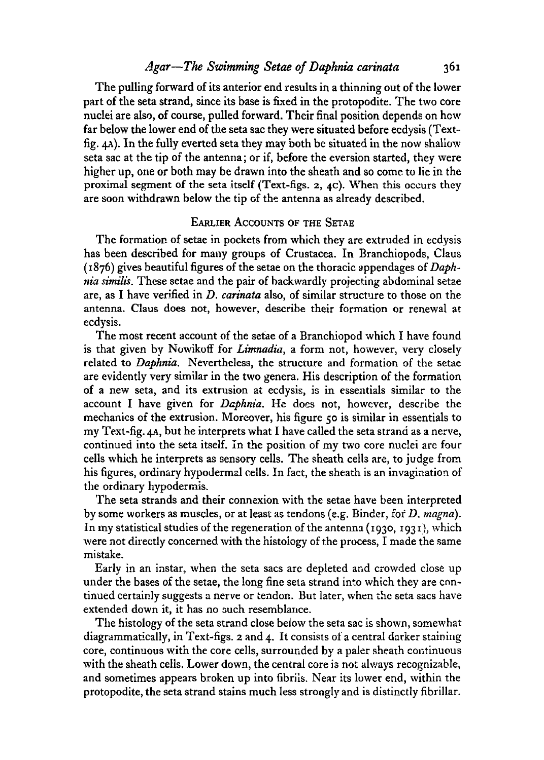The pulling forward of its anterior end results in a thinning out of the lower part of the seta strand, since its base is fixed in the protopodite. The two core nuclei are also, of course, pulled forward. Their final position depends on hew far below the lower end of the seta sac they were situated before ecdysis (Textfig.  $4\lambda$ ). In the fully everted seta they may both be situated in the now shallow seta sac at the tip of the antenna; or if, before the eversion started, they were higher up, one or both may be drawn into the sheath and so come to lie in the proximal segment of the seta itself (Text-figs.  $2, 4c$ ). When this occurs they are soon withdrawn below the tip of the antenna as already described.

#### EARLIER ACCOUNTS OF THE SETAE

The formation of setae in pockets from which they are extruded in ecdysis has been described for many groups of Crustacea. In Branchiopods, Claus (1876) gives beautiful figures of the setae on the thoracic appendages of *Daphnia similis.* These setae and the pair of backwardly projecting abdominal setae are, as I have verified in *D. carinata* also, of similar structure to those on the antenna. Claus does not, however, describe their formation or renewal at ecdysis.

The most recent account of the setae of a Branchiopod which I have found is that given by Nowikoff for *Limnadia*, a form not, however, very closely related to *Daphnia.* Nevertheless, the structure and formation of the setae are evidently very similar in the two genera. His description of the formation of a new seta, and its extrusion at ecdysis, is in essentials similar to the account I have given for *Daphnia.* He does not, however, describe the mechanics of the extrusion. Moreover, his figure 50 is similar in essentials to my Text-fig. 4A, but he interprets what I have called the seta strand as a nerve, continued into the seta itself. In the position of my two core nuclei are four cells which he interprets as sensory cells. The sheath cells are, to judge from his figures, ordinary hypodermal cells. In fact, the sheath is an invagination of the ordinary hypodermis.

The seta strands and their connexion with the setae have been interpreted by some workers as muscles, or at least as tendons (e.g. Binder, for *D. magna).* In my statistical studies of the regeneration of the antenna (1930, 1931), which were not directly concerned with the histology of the process, I made the same mistake.

Early in an instar, when the seta sacs are depleted and crowded close up under the bases of the setae, the long fine seta strand into which they are continued certainly suggests a nerve or tendon. But later, when the seta sacs have extended down it, it has no such resemblance.

The histology of the seta strand close below the seta sac is shown, somewhat diagrammatically, in Text-figs. 2 and 4. It consists of a central darker staining core, continuous with the core cells, surrounded by a paler sheath continuous with the sheath cells. Lower down, the central core is not always recognizable, and sometimes appears broken up into fibrils. Near its lower end, within the protopodite, the seta strand stains much less strongly and is distinctly fibrillar.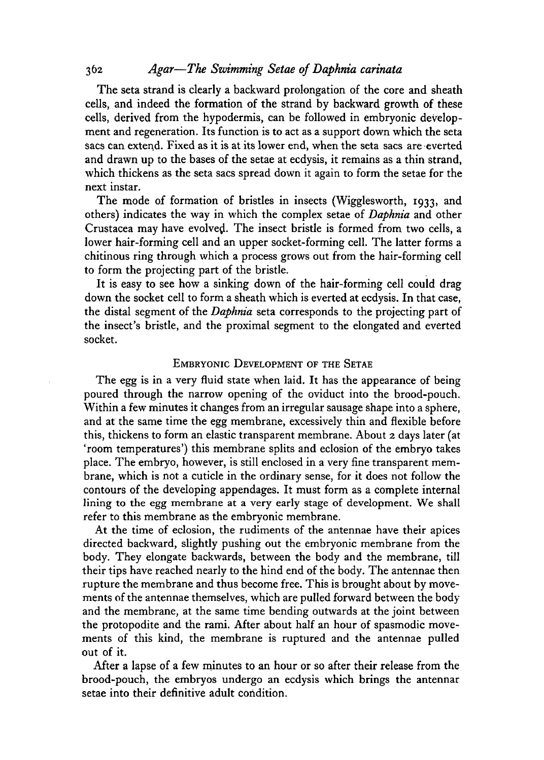The seta strand is clearly a backward prolongation of the core and sheath cells, and indeed the formation of the strand by backward growth of these cells, derived from the hypodermis, can be followed in embryonic development and regeneration. Its function is to act as a support down which the seta sacs can extend. Fixed as it is at its lower end, when the seta sacs are everted and drawn up to the bases of the setae at ecdysis, it remains as a thin strand, which thickens as the seta sacs spread down it again to form the setae for the next instar.

The mode of formation of bristles in insects (Wigglesworth, 1933, and others) indicates the way in which the complex setae of *Daphnia* and other Crustacea may have evolved. The insect bristle is formed from two cells, a lower hair-forming cell and an upper socket-forming cell. The latter forms a chitinous ring through which a process grows out from the hair-forming cell to form the projecting part of the bristle.

It is easy to see how a sinking down of the hair-forming cell could drag down the socket cell to form a sheath which is everted at ecdysis. In that case, the distal segment of the *Daphnia* seta corresponds to the projecting part of the insect's bristle, and the proximal segment to the elongated and everted socket.

## EMBRYONIC DEVELOPMENT OF THE SETAE

The egg is in a very fluid state when laid. It has the appearance of being poured through the narrow opening of the oviduct into the brood-pouch. Within a few minutes it changes from an irregular sausage shape into a sphere, and at the same time the egg membrane, excessively thin and flexible before this, thickens to form an elastic transparent membrane. About 2 days later (at 'room temperatures') this membrane splits and eclosion of the embryo takes place. The embryo, however, is still enclosed in a very fine transparent membrane, which is not a cuticle in the ordinary sense, for it does not follow the contours of the developing appendages. It must form as a complete internal lining to the egg membrane at a very early stage of development. We shall refer to this membrane as the embryonic membrane.

At the time of eclosion, the rudiments of the antennae have their apices directed backward, slightly pushing out the embryonic membrane from the body. They elongate backwards, between the body and the membrane, till their tips have reached nearly to the hind end of the body. The antennae then rupture the membrane and thus become free. This is brought about by movements of the antennae themselves, which are pulled forward between the body and the membrane, at the same time bending outwards at the joint between the protopodite and the rami. After about half an hour of spasmodic movements of this kind, the membrane is ruptured and the antennae pulled out of it.

After a lapse of a few minutes to an hour or so after their release from the brood-pouch, the embryos undergo an ecdysis which brings the antennar setae into their definitive adult condition.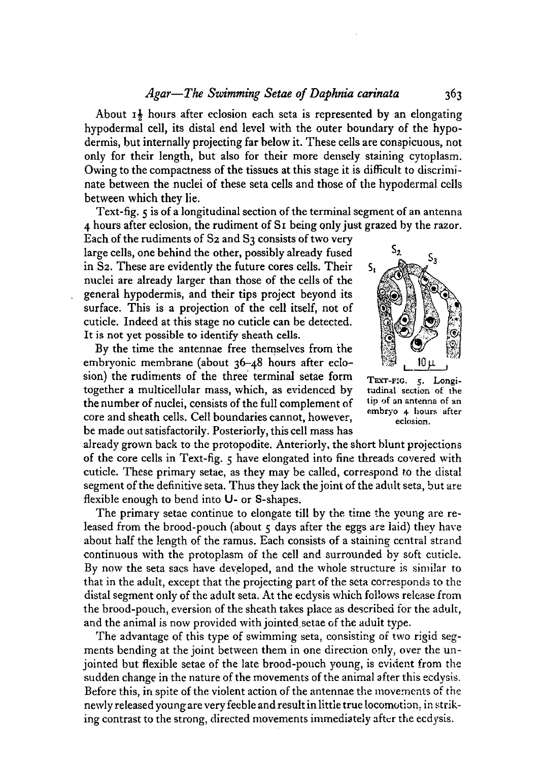About  $1\frac{1}{2}$  hours after eclosion each seta is represented by an elongating hypodermal cell, its distal end level with the outer boundary of the hypodermis, but internally projecting far below it. These cells are conspicuous, not only for their length, but also for their more densely staining cytoplasm. Owing to the compactness of the tissues at this stage it is difficult to discriminate between the nuclei of these seta cells and those of the hypodermal cells between which they lie.

Text-fig. 5 is of a longitudinal section of the terminal segment of an antenna 4 hours after eclosion, the rudiment of Si being only just grazed by the razor.

Each of the rudiments of S2 and S3 consists of two very large cells, one behind the other, possibly already fused in S2. These are evidently the future cores cells. Their nuclei are already larger than those of the cells of the general hypodermis, and their tips project beyond its surface. This is a projection of the cell itself, not of cuticle. Indeed at this stage no cuticle can be detected. It is not yet possible to identify sheath cells.

By the time the antennae free themselves from the embryonic membrane (about 36-48 hours after eclosion) the rudiments of the three terminal setae form  $T_{\text{EXT-FIG.}}$   $\frac{1}{5}$ . Longitogether a multicellular mass, which, as evidenced by tudinal section of the the number of nuclei, consists of the full complement of **,,. , 11 /-• 11 v j • 1 embryo 4 hours after** be made out satisfactorily. Posteriorly, this cell mass has

already grown back to the protopodite. Anteriorly, the short blunt projections of the core cells in Text-fig. 5 have elongated into fine threads covered with cuticle. These primary setae, as they may be called, correspond to the distal segment of the definitive seta. Thus they lack the joint of the adult seta, but are flexible enough to bend into U- or S-shapes.

The primary setae continue to elongate till by the time the young are re-Leased from the brood-pouch (about  $\zeta$  days after the eggs are laid) they have about half the length of the ramus. Each consists of a staining central strand continuous with the protoplasm of the cell and surrounded by soft cuticle. By now the seta sacs have developed, and the whole structure is similar to that in the adult, except that the projecting part of the seta corresponds to the distal segment only of the adult seta. At the ecdysis which follows release from the brood-pouch, eversion of the sheath takes place as described for the adult, and the animal is now provided with jointed setae of the adult type.

The advantage of this type of swimming seta, consisting of two rigid segments bending at the joint between them in one direction only, over the unjointed but flexible setae of the late brood-pouch young, is evident from the sudden change in the nature of the movements of the animal after this ecdysis. Before this, in spite of the violent action of the antennae the movements of the newly released young are very feeble and result in little true locomotion, in striknewly released young are very feeble and result in little true locomotion, in striking contrast to the strong, directed movements immediately after the ecdysis.



s,

let up of an antenna of an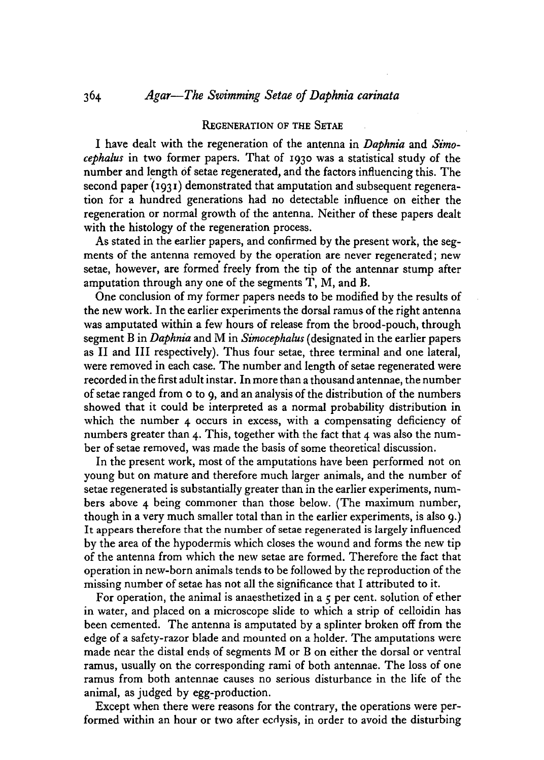#### REGENERATION OF THE SETAE

I have dealt with the regeneration of the antenna in *Daphnia* and *Simocephalus* in two former papers. That of 1930 was a statistical study of the number and length of setae regenerated, and the factors influencing this. The second paper (1931) demonstrated that amputation and subsequent regeneration for a hundred generations had no detectable influence on either the regeneration or normal growth of the antenna. Neither of these papers dealt with the histology of the regeneration process.

As stated in the earlier papers, and confirmed by the present work, the segments of the antenna removed by the operation are never regenerated; new setae, however, are formed freely from the tip of the antennar stump after amputation through any one of the segments T, M, and B.

One conclusion of my former papers needs to be modified by the results of the new work. In the earlier experiments the dorsal ramus of the right antenna was amputated within a few hours of release from the brood-pouch, through segment B in *Daphnia* and M in *Simocephalus* (designated in the earlier papers as II and III respectively). Thus four setae, three terminal and one lateral, were removed in each case. The number and length of setae regenerated were recorded in the first adult instar. In more than a thousand antennae, the number of setae ranged from 0 to 9, and an analysis of the distribution of the numbers showed that it could be interpreted as a normal probability distribution in which the number 4 occurs in excess, with a compensating deficiency of numbers greater than 4. This, together with the fact that 4 was also the number of setae removed, was made the basis of some theoretical discussion.

In the present work, most of the amputations have been performed not on young but on mature and therefore much larger animals, and the number of setae regenerated is substantially greater than in the earlier experiments, numbers above 4 being commoner than those below. (The maximum number, though in a very much smaller total than in the earlier experiments, is also 9.) It appears therefore that the number of setae regenerated is largely influenced by the area of the hypodermis which closes the wound and forms the new tip of the antenna from which the new setae are formed. Therefore the fact that operation in new-born animals tends to be followed by the reproduction of the missing number of setae has not all the significance that I attributed to it.

For operation, the animal is anaesthetized in a 5 per cent, solution of ether in water, and placed on a microscope slide to which a strip of celloidin has been cemented. The antenna is amputated by a splinter broken off from the edge of a safety-razor blade and mounted on a holder. The amputations were made near the distal ends of segments M or B on either the dorsal or ventral ramus, usually on the corresponding rami of both antennae. The loss of one ramus from both antennae causes no serious disturbance in the life of the animal, as judged by egg-production.

Except when there were reasons for the contrary, the operations were performed within an hour or two after ecdysis, in order to avoid the disturbing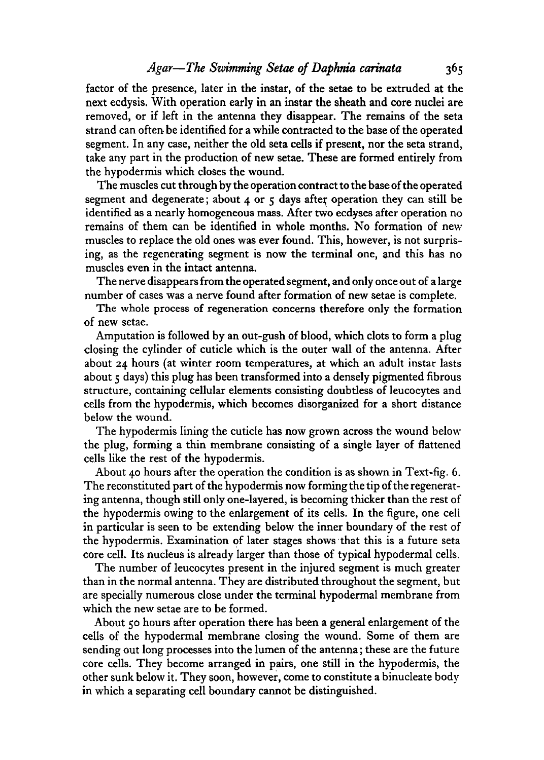factor of the presence, later in the instar, of the setae to be extruded at the next ecdysis. With operation early in an instar the sheath and core nuclei are removed, or if left in the antenna they disappear. The remains of the seta strand can often be identified for a while contracted to the base of the operated segment. In any case, neither the old seta cells if present, nor the seta strand, take any part in the production of new setae. These are formed entirely from the hypodermis which closes the wound.

The muscles cut through by the operation contract to the base of the operated segment and degenerate; about  $4$  or  $5$  days after operation they can still be identified as a nearly homogeneous mass. After two ecdyses after operation no remains of them can be identified in whole months. No formation of new muscles to replace the old ones was ever found. This, however, is not surprising, as the regenerating segment is now the terminal one, and this has no muscles even in the intact antenna.

The nerve disappears from the operated segment, and only once out of a large number of cases was a nerve found after formation of new setae is complete.

The whole process of regeneration concerns therefore only the formation of new setae.

Amputation is followed by an out-gush of blood, which clots to form a plug closing the cylinder of cuticle which is the outer wall of the antenna. After about 24 hours (at winter room temperatures, at which an adult instar lasts about  $\zeta$  days) this plug has been transformed into a densely pigmented fibrous structure, containing cellular elements consisting doubtless of leucocytes and cells from the hypodermis, which becomes disorganized for a short distance below the wound.

The hypodermis lining the cuticle has now grown across the wound below the plug, forming a thin membrane consisting of a single layer of flattened cells like the rest of the hypodermis.

About 40 hours after the operation the condition is as shown in Text-fig. 6. The reconstituted part of the hypodermis now forming the tip of the regenerating antenna, though still only one-layered, is becoming thicker than the rest of the hypodermis owing to the enlargement of its cells. In the figure, one cell in particular is seen to be extending below the inner boundary of the rest of the hypodermis. Examination of later stages shows that this is a future seta core cell. Its nucleus is already larger than those of typical hypodermal cells.

The number of leucocytes present in the injured segment is much greater than in the normal antenna. They are distributed throughout the segment, but are specially numerous close under the terminal hypodermal membrane from which the new setae are to be formed.

About 50 hours after operation there has been a general enlargement of the cells of the hypodermal membrane closing the wound. Some of them are sending out long processes into the lumen of the antenna; these are the future core cells. They become arranged in pairs, one still in the hypodermis, the other sunk below it. They soon, however, come to constitute a binucleate body in which a separating cell boundary cannot be distinguished.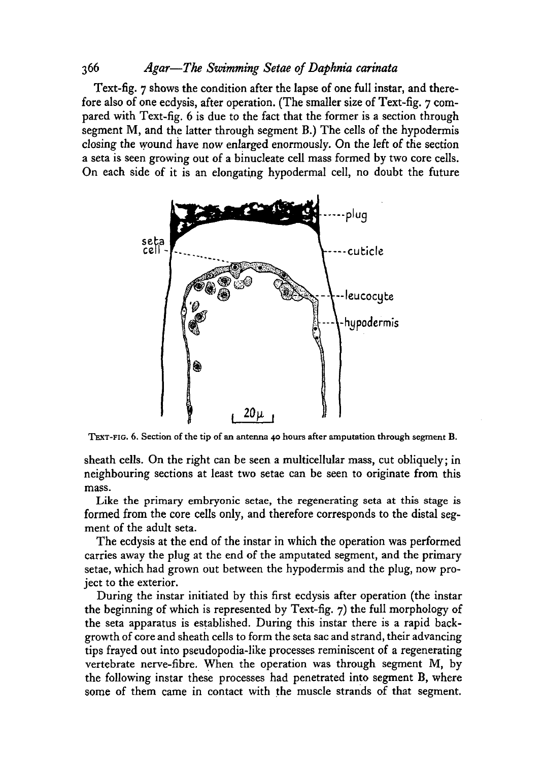Text-fig. 7 shows the condition after the lapse of one full instar, and therefore also of one ecdysis, after operation. (The smaller size of Text-fig. 7 compared with Text-fig. 6 is due to the fact that the former is a section through segment M, and the latter through segment B.) The cells of the hypodermis closing the wound have now enlarged enormously. On the left of the section a seta is seen growing out of a binucleate cell mass formed by two core cells. On each side of it is an elongating hypodermal cell, no doubt the future



TEXT-FIG. 6. Section of the tip of an antenna 40 hours after amputation through segment B.

sheath cells. On the right can be seen a multicellular mass, cut obliquely; in neighbouring sections at least two setae can be seen to originate from this mass.

Like the primary embryonic setae, the regenerating seta at this stage is formed from the core cells only, and therefore corresponds to the distal segment of the adult seta.

The ecdysis at the end of the instar in which the operation was performed carries away the plug at the end of the amputated segment, and the primary setae, which had grown out between the hypodermis and the plug, now project to the exterior.

During the instar initiated by this first ecdysis after operation (the instar the beginning of which is represented by Text-fig. 7) the full morphology of the seta apparatus is established. During this instar there is a rapid backgrowth of core and sheath cells to form the seta sac and strand, their advancing tips frayed out into pseudopodia-like processes reminiscent of a regenerating vertebrate nerve-fibre. When the operation was through segment M, by the following instar these processes had penetrated into segment B, where some of them came in contact with the muscle strands of that segment.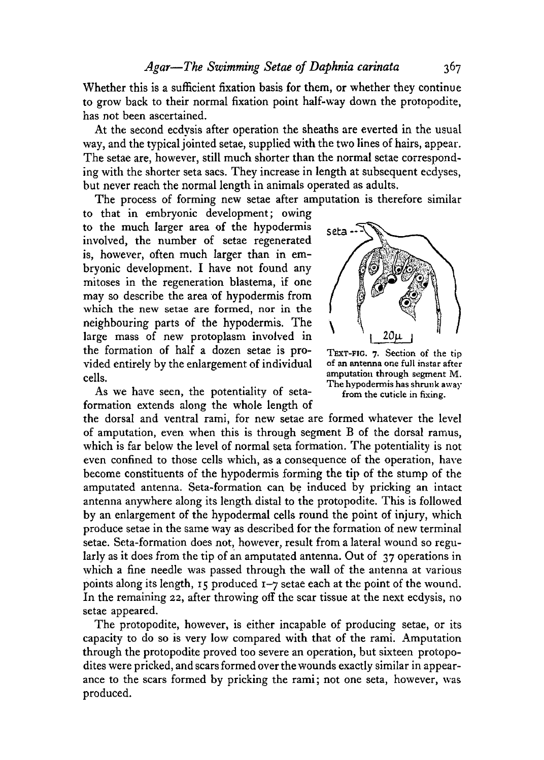Whether this is a sufficient fixation basis for them, or whether they continue to grow back to their normal fixation point half-way down the protopodite, has not been ascertained.

At the second ecdysis after operation the sheaths are everted in the usual way, and the typical jointed setae, supplied with the two lines of hairs, appear. The setae are, however, still much shorter than the normal setae corresponding with the shorter seta sacs. They increase in length at subsequent ecdyses, but never reach the normal length in animals operated as adults.

The process of forming new setae after amputation is therefore similar

to that in embryonic development; owing to the much larger area of the hypodermis involved, the number of setae regenerated is, however, often much larger than in embryonic development. I have not found any mitoses in the regeneration blastema, if one may so describe the area of hypodermis from which the new setae are formed, nor in the neighbouring parts of the hypodermis. The large mass of new protoplasm involved in the formation of half a dozen setae is provided entirely by the enlargement of individual cells.

As we have seen, the potentiality of setaformation extends along the whole length of

the dorsal and ventral rami, for new setae are formed whatever the level of amputation, even, when this is through segment B of the dorsal ramus, which is far below the level of normal seta formation. The potentiality is not even confined to those cells which, as a consequence of the operation, have become constituents of the hypodermis forming the tip of the stump of the amputated antenna. Seta-formation can be induced by pricking an intact antenna anywhere along its length, distal to the protopodite. This is followed by an enlargement of the hypodermal cells round the point of injury, which produce setae in the same way as described for the formation of new terminal setae. Seta-formation does not, however, result from a lateral wound so regularly as it does from the tip of an amputated antenna. Out of 37 operations in which a fine needle was passed through the wall of the antenna at various points along its length, 15 produced 1-7 setae each at the point of the wound. In the remaining 22, after throwing off the scar tissue at the next ecdysis, no setae appeared.

The protopodite, however, is either incapable of producing setae, or its capacity to do so is very low compared with that of the rami. Amputation through the protopodite proved too severe an operation, but sixteen protopodites were pricked, and scars formed over the wounds exactly similar in appearance to the scars formed by pricking the rami; not one seta, however, was produced.



TEXT-FIG. 7. Section of the tip of an antenna one full instar after amputation through segment M. The hypodermis has shrunk away from the cuticle in fixing.